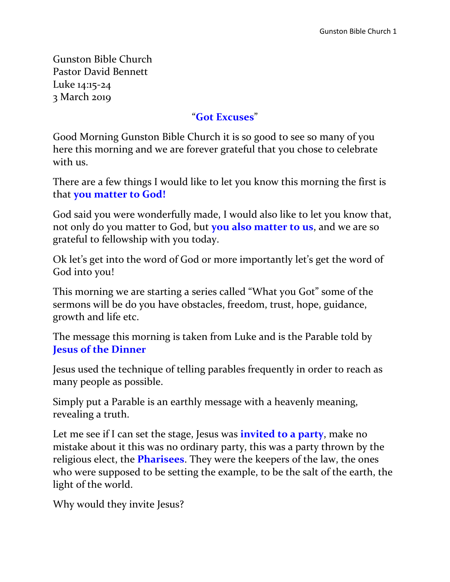Gunston Bible Church Pastor David Bennett Luke 14:15-24 3 March 2019

#### "**Got Excuses**"

Good Morning Gunston Bible Church it is so good to see so many of you here this morning and we are forever grateful that you chose to celebrate with us.

There are a few things I would like to let you know this morning the first is that **you matter to God!**

God said you were wonderfully made, I would also like to let you know that, not only do you matter to God, but **you also matter to us**, and we are so grateful to fellowship with you today.

Ok let's get into the word of God or more importantly let's get the word of God into you!

This morning we are starting a series called "What you Got" some of the sermons will be do you have obstacles, freedom, trust, hope, guidance, growth and life etc.

The message this morning is taken from Luke and is the Parable told by **Jesus of the Dinner**

Jesus used the technique of telling parables frequently in order to reach as many people as possible.

Simply put a Parable is an earthly message with a heavenly meaning, revealing a truth.

Let me see if I can set the stage, Jesus was **invited to a party**, make no mistake about it this was no ordinary party, this was a party thrown by the religious elect, the **Pharisees**. They were the keepers of the law, the ones who were supposed to be setting the example, to be the salt of the earth, the light of the world.

Why would they invite Jesus?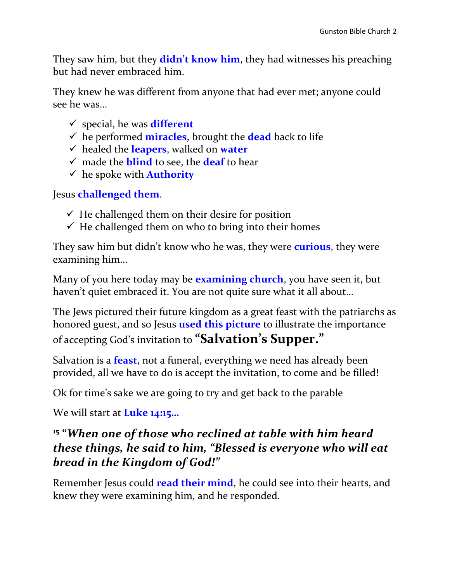They saw him, but they **didn't know him**, they had witnesses his preaching but had never embraced him.

They knew he was different from anyone that had ever met; anyone could see he was…

- special, he was **different**
- $\checkmark$  he performed **miracles**, brought the **dead** back to life
- healed the **leapers**, walked on **water**
- made the **blind** to see, the **deaf** to hear
- $\checkmark$  he spoke with **Authority**

Jesus **challenged them**.

- $\checkmark$  He challenged them on their desire for position
- $\checkmark$  He challenged them on who to bring into their homes

They saw him but didn't know who he was, they were **curious**, they were examining him…

Many of you here today may be **examining church**, you have seen it, but haven't quiet embraced it. You are not quite sure what it all about…

The Jews pictured their future kingdom as a great feast with the patriarchs as honored guest, and so Jesus **used this picture** to illustrate the importance of accepting God's invitation to **"Salvation's Supper."** 

Salvation is a **feast**, not a funeral, everything we need has already been provided, all we have to do is accept the invitation, to come and be filled!

Ok for time's sake we are going to try and get back to the parable

We will start at **Luke 14:15…**

#### **15 "***When one of those who reclined at table with him heard these things, he said to him, "Blessed is everyone who will eat bread in the Kingdom of God!"*

Remember Jesus could **read their mind**, he could see into their hearts, and knew they were examining him, and he responded.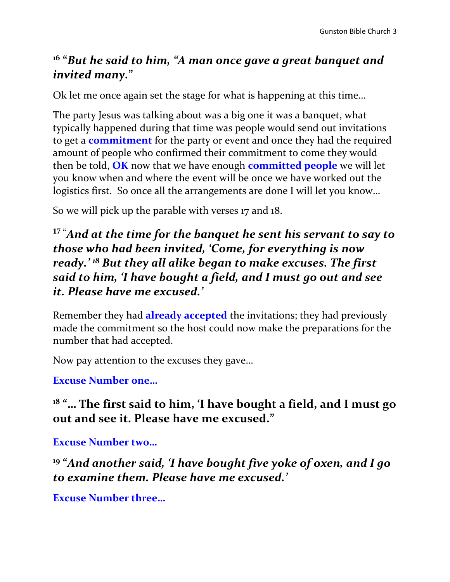## **16 "***But he said to him, "A man once gave a great banquet and invited many.***"**

Ok let me once again set the stage for what is happening at this time…

The party Jesus was talking about was a big one it was a banquet, what typically happened during that time was people would send out invitations to get a **commitment** for the party or event and once they had the required amount of people who confirmed their commitment to come they would then be told, **OK** now that we have enough **committed people** we will let you know when and where the event will be once we have worked out the logistics first. So once all the arrangements are done I will let you know…

So we will pick up the parable with verses 17 and 18.

**<sup>17</sup> "***And at the time for the banquet he sent his servant to say to those who had been invited, 'Come, for everything is now ready.' <sup>18</sup> But they all alike began to make excuses. The first said to him, 'I have bought a field, and I must go out and see it. Please have me excused.'*

Remember they had **already accepted** the invitations; they had previously made the commitment so the host could now make the preparations for the number that had accepted.

Now pay attention to the excuses they gave…

**Excuse Number one…**

**<sup>18</sup> "… The first said to him, 'I have bought a field, and I must go out and see it. Please have me excused."**

**Excuse Number two…**

**19 "***And another said, 'I have bought five yoke of oxen, and I go to examine them. Please have me excused.'*

**Excuse Number three…**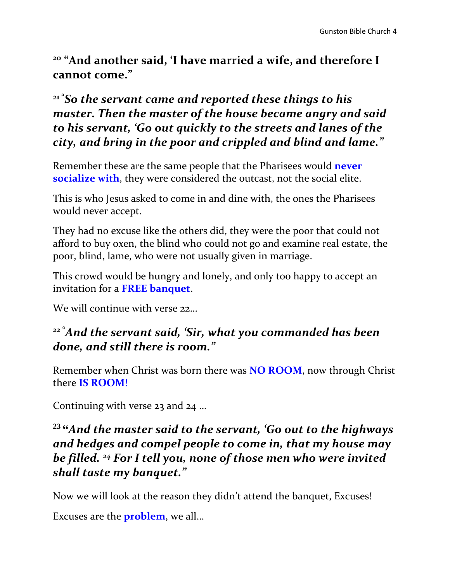**<sup>20</sup> "And another said, 'I have married a wife, and therefore I cannot come."**

## **<sup>21</sup> "***So the servant came and reported these things to his master. Then the master of the house became angry and said to his servant, 'Go out quickly to the streets and lanes of the city, and bring in the poor and crippled and blind and lame."*

Remember these are the same people that the Pharisees would **never socialize with**, they were considered the outcast, not the social elite.

This is who Jesus asked to come in and dine with, the ones the Pharisees would never accept.

They had no excuse like the others did, they were the poor that could not afford to buy oxen, the blind who could not go and examine real estate, the poor, blind, lame, who were not usually given in marriage.

This crowd would be hungry and lonely, and only too happy to accept an invitation for a **FREE banquet**.

We will continue with verse 22

#### **<sup>22</sup> "***And the servant said, 'Sir, what you commanded has been done, and still there is room."*

Remember when Christ was born there was **NO ROOM**, now through Christ there **IS ROOM**!

Continuing with verse 23 and 24 …

## **<sup>23</sup> "***And the master said to the servant, 'Go out to the highways and hedges and compel people to come in, that my house may be filled. <sup>24</sup> For I tell you, none of those men who were invited shall taste my banquet."*

Now we will look at the reason they didn't attend the banquet, Excuses!

Excuses are the **problem**, we all…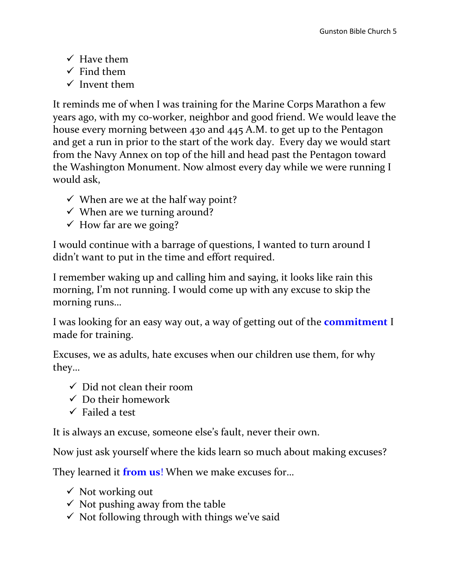- $\checkmark$  Have them
- $\checkmark$  Find them
- $\checkmark$  Invent them

It reminds me of when I was training for the Marine Corps Marathon a few years ago, with my co-worker, neighbor and good friend. We would leave the house every morning between 430 and 445 A.M. to get up to the Pentagon and get a run in prior to the start of the work day. Every day we would start from the Navy Annex on top of the hill and head past the Pentagon toward the Washington Monument. Now almost every day while we were running I would ask,

- $\checkmark$  When are we at the half way point?
- $\checkmark$  When are we turning around?
- $\checkmark$  How far are we going?

I would continue with a barrage of questions, I wanted to turn around I didn't want to put in the time and effort required.

I remember waking up and calling him and saying, it looks like rain this morning, I'm not running. I would come up with any excuse to skip the morning runs…

I was looking for an easy way out, a way of getting out of the **commitment** I made for training.

Excuses, we as adults, hate excuses when our children use them, for why they…

- $\checkmark$  Did not clean their room
- $\checkmark$  Do their homework
- $\checkmark$  Failed a test

It is always an excuse, someone else's fault, never their own.

Now just ask yourself where the kids learn so much about making excuses?

They learned it **from us**! When we make excuses for…

- $\checkmark$  Not working out
- $\checkmark$  Not pushing away from the table
- $\checkmark$  Not following through with things we've said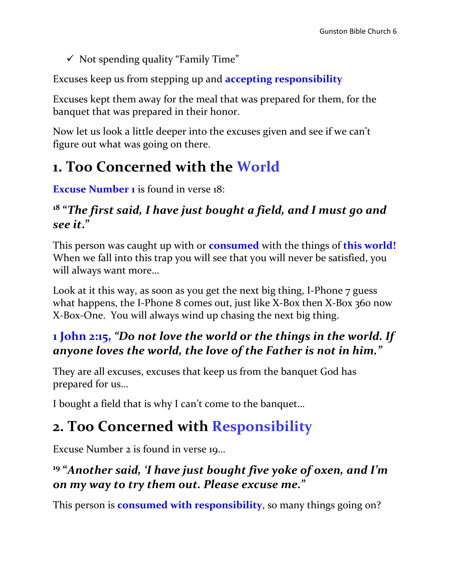$\checkmark$  Not spending quality "Family Time"

Excuses keep us from stepping up and **accepting responsibility**

Excuses kept them away for the meal that was prepared for them, for the banquet that was prepared in their honor.

Now let us look a little deeper into the excuses given and see if we can't figure out what was going on there.

# **1. Too Concerned with the World**

**Excuse Number 1** is found in verse 18:

#### **18 "***The first said, I have just bought a field, and I must go and see it***."**

This person was caught up with or **consumed** with the things of **this world!** When we fall into this trap you will see that you will never be satisfied, you will always want more…

Look at it this way, as soon as you get the next big thing, I-Phone 7 guess what happens, the I-Phone 8 comes out, just like X-Box then X-Box 360 now X-Box-One. You will always wind up chasing the next big thing.

## **1 John 2:15,** *"Do not love the world or the things in the world. If anyone loves the world, the love of the Father is not in him."*

They are all excuses, excuses that keep us from the banquet God has prepared for us…

I bought a field that is why I can't come to the banquet…

# **2. Too Concerned with Responsibility**

Excuse Number 2 is found in verse 19…

## **19 "***Another said, 'I have just bought five yoke of oxen, and I'm on my way to try them out. Please excuse me.***"**

This person is **consumed with responsibility**, so many things going on?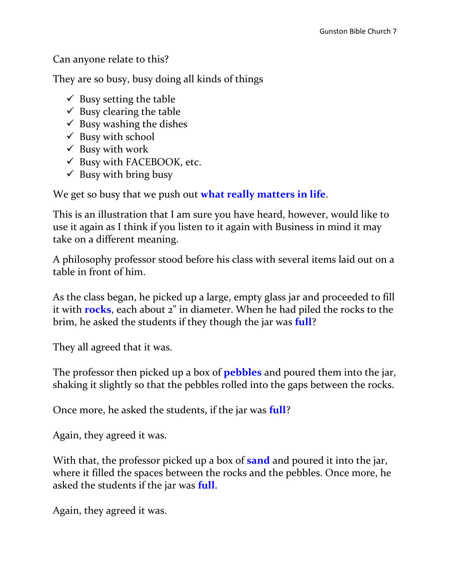Can anyone relate to this?

They are so busy, busy doing all kinds of things

- $\checkmark$  Busy setting the table
- $\checkmark$  Busy clearing the table
- $\checkmark$  Busy washing the dishes
- $\checkmark$  Busy with school
- $\checkmark$  Busy with work
- $\checkmark$  Busy with FACEBOOK, etc.
- $\checkmark$  Busy with bring busy

We get so busy that we push out **what really matters in life**.

This is an illustration that I am sure you have heard, however, would like to use it again as I think if you listen to it again with Business in mind it may take on a different meaning.

A philosophy professor stood before his class with several items laid out on a table in front of him.

As the class began, he picked up a large, empty glass jar and proceeded to fill it with **rocks**, each about 2" in diameter. When he had piled the rocks to the brim, he asked the students if they though the jar was **full**?

They all agreed that it was.

The professor then picked up a box of **pebbles** and poured them into the jar, shaking it slightly so that the pebbles rolled into the gaps between the rocks.

Once more, he asked the students, if the jar was **full**?

Again, they agreed it was.

With that, the professor picked up a box of **sand** and poured it into the jar, where it filled the spaces between the rocks and the pebbles. Once more, he asked the students if the jar was **full**.

Again, they agreed it was.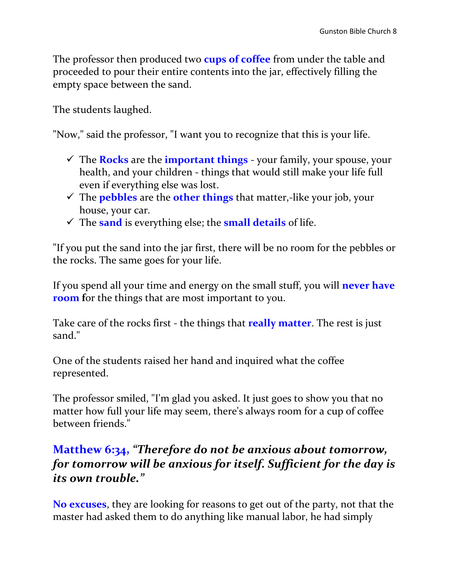The professor then produced two **cups of coffee** from under the table and proceeded to pour their entire contents into the jar, effectively filling the empty space between the sand.

The students laughed.

"Now," said the professor, "I want you to recognize that this is your life.

- $\checkmark$  The **Rocks** are the **important things** your family, your spouse, your health, and your children - things that would still make your life full even if everything else was lost.
- The **pebbles** are the **other things** that matter,-like your job, your house, your car.
- $\checkmark$  The **sand** is everything else; the **small details** of life.

"If you put the sand into the jar first, there will be no room for the pebbles or the rocks. The same goes for your life.

If you spend all your time and energy on the small stuff, you will **never have room** for the things that are most important to you.

Take care of the rocks first - the things that **really matter**. The rest is just sand."

One of the students raised her hand and inquired what the coffee represented.

The professor smiled, "I'm glad you asked. It just goes to show you that no matter how full your life may seem, there's always room for a cup of coffee between friends."

#### **Matthew 6:34,** *"Therefore do not be anxious about tomorrow, for tomorrow will be anxious for itself. Sufficient for the day is its own trouble."*

**No excuses**, they are looking for reasons to get out of the party, not that the master had asked them to do anything like manual labor, he had simply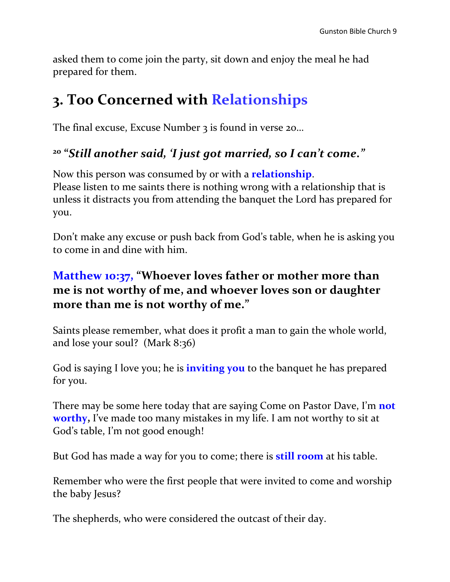asked them to come join the party, sit down and enjoy the meal he had prepared for them.

## **3. Too Concerned with Relationships**

The final excuse, Excuse Number 3 is found in verse 20...

## **20 "***Still another said, 'I just got married, so I can't come."*

Now this person was consumed by or with a **relationship**. Please listen to me saints there is nothing wrong with a relationship that is unless it distracts you from attending the banquet the Lord has prepared for you.

Don't make any excuse or push back from God's table, when he is asking you to come in and dine with him.

## **Matthew 10:37, "Whoever loves father or mother more than me is not worthy of me, and whoever loves son or daughter more than me is not worthy of me."**

Saints please remember, what does it profit a man to gain the whole world, and lose your soul? (Mark 8:36)

God is saying I love you; he is **inviting you** to the banquet he has prepared for you.

There may be some here today that are saying Come on Pastor Dave, I'm **not worthy,** I've made too many mistakes in my life. I am not worthy to sit at God's table, I'm not good enough!

But God has made a way for you to come; there is **still room** at his table.

Remember who were the first people that were invited to come and worship the baby Jesus?

The shepherds, who were considered the outcast of their day.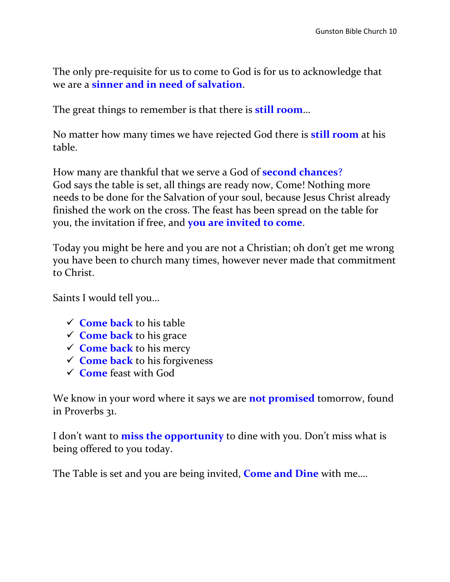The only pre-requisite for us to come to God is for us to acknowledge that we are a **sinner and in need of salvation**.

The great things to remember is that there is **still room**…

No matter how many times we have rejected God there is **still room** at his table.

How many are thankful that we serve a God of **second chances**? God says the table is set, all things are ready now, Come! Nothing more needs to be done for the Salvation of your soul, because Jesus Christ already finished the work on the cross. The feast has been spread on the table for you, the invitation if free, and **you are invited to come**.

Today you might be here and you are not a Christian; oh don't get me wrong you have been to church many times, however never made that commitment to Christ.

Saints I would tell you…

- **<del></del> ← Come back** to his table
- **<del></del> ← Come back** to his grace
- **Come back** to his mercy
- **Come back** to his forgiveness
- **Come** feast with God

We know in your word where it says we are **not promised** tomorrow, found in Proverbs 31.

I don't want to **miss the opportunity** to dine with you. Don't miss what is being offered to you today.

The Table is set and you are being invited, **Come and Dine** with me….